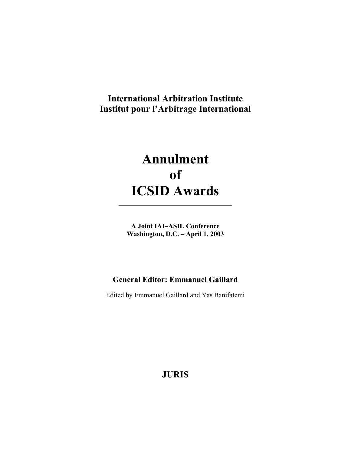## **International Arbitration Institute Institut pour l'Arbitrage International**

# **Annulment of ICSID Awards**

**A Joint IAI–ASIL Conference Washington, D.C. – April 1, 2003** 

**———————————** 

## **General Editor: Emmanuel Gaillard**

Edited by Emmanuel Gaillard and Yas Banifatemi

**JURIS**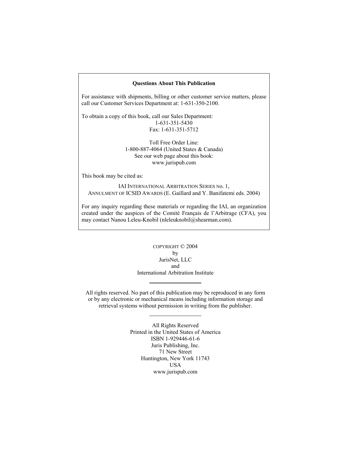#### **Questions About This Publication**

For assistance with shipments, billing or other customer service matters, please call our Customer Services Department at: 1-631-350-2100.

To obtain a copy of this book, call our Sales Department: 1-631-351-5430 Fax: 1-631-351-5712

> Toll Free Order Line: 1-800-887-4064 (United States & Canada) See our web page about this book: www.jurispub.com

This book may be cited as:

IAI INTERNATIONAL ARBITRATION SERIES No. 1, ANNULMENT OF ICSID AWARDS (E. Gaillard and Y. Banifatemi eds. 2004)

For any inquiry regarding these materials or regarding the IAI, an organization created under the auspices of the Comité Français de l'Arbitrage (CFA), you may contact Nanou Leleu-Knobil (nleleuknobil@shearman.com).

> COPYRIGHT © 2004 by JurisNet, LLC and International Arbitration Institute

All rights reserved. No part of this publication may be reproduced in any form or by any electronic or mechanical means including information storage and retrieval systems without permission in writing from the publisher.

> All Rights Reserved Printed in the United States of America ISBN 1-929446-61-6 Juris Publishing, Inc. 71 New Street Huntington, New York 11743 USA www.jurispub.com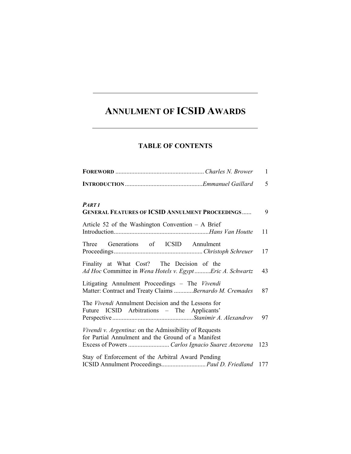## **ANNULMENT OF ICSID AWARDS**

### **TABLE OF CONTENTS**

|                                                                                                              | $\mathbf{1}$ |
|--------------------------------------------------------------------------------------------------------------|--------------|
|                                                                                                              | 5            |
| <b>PARTI</b><br><b>GENERAL FEATURES OF ICSID ANNULMENT PROCEEDINGS</b>                                       | 9            |
| Article 52 of the Washington Convention $-$ A Brief                                                          | 11           |
| Three Generations of ICSID Annulment                                                                         | 17           |
| Finality at What Cost? The Decision of the<br>Ad Hoc Committee in Wena Hotels v. EgyptEric A. Schwartz       | 43           |
| Litigating Annulment Proceedings - The Vivendi<br>Matter: Contract and Treaty Claims Bernardo M. Cremades    | 87           |
| The Vivendi Annulment Decision and the Lessons for<br>Future ICSID Arbitrations - The Applicants'            | 97           |
| Vivendi v. Argentina: on the Admissibility of Requests<br>for Partial Annulment and the Ground of a Manifest | 123          |
| Stay of Enforcement of the Arbitral Award Pending<br>ICSID Annulment Proceedings Paul D. Friedland 177       |              |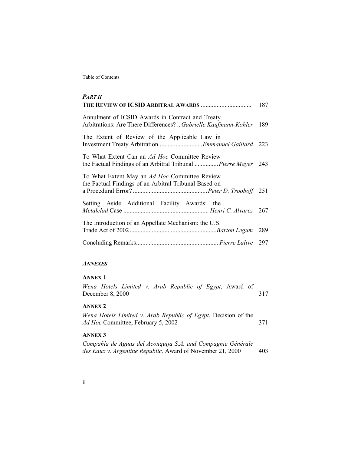Table of Contents

| <b>PART II</b>                                                                                                      |     |
|---------------------------------------------------------------------------------------------------------------------|-----|
|                                                                                                                     | 187 |
| Annulment of ICSID Awards in Contract and Treaty<br>Arbitrations: Are There Differences?  Gabrielle Kaufmann-Kohler | 189 |
| The Extent of Review of the Applicable Law in<br>Investment Treaty Arbitration Emmanuel Gaillard 223                |     |
| To What Extent Can an Ad Hoc Committee Review<br>the Factual Findings of an Arbitral Tribunal  Pierre Mayer         | 243 |
| To What Extent May an Ad Hoc Committee Review<br>the Factual Findings of an Arbitral Tribunal Based on              |     |
|                                                                                                                     |     |
| Setting Aside Additional Facility Awards: the                                                                       |     |
| The Introduction of an Appellate Mechanism: the U.S.                                                                | 289 |
|                                                                                                                     |     |

#### *ANNEXES*

#### **ANNEX 1**

*Wena Hotels Limited v. Arab Republic of Egypt*, Award of December 8, 2000 317

#### **ANNEX 2**

*Wena Hotels Limited v. Arab Republic of Egypt*, Decision of the *Ad Hoc Committee, February 5, 2002* 371

#### **ANNEX 3**

*Compañía de Aguas del Aconquija S.A. and Compagnie Générale des Eaux v. Argentine Republic,* Award of November 21, 2000 403